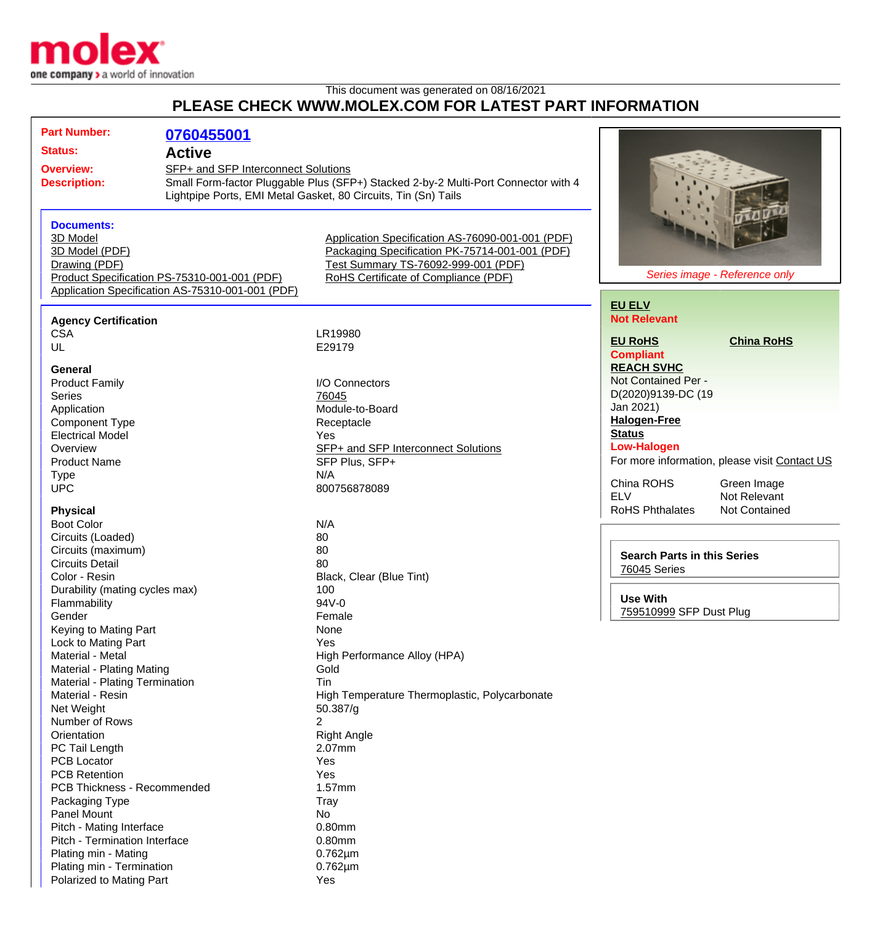

## This document was generated on 08/16/2021 **PLEASE CHECK WWW.MOLEX.COM FOR LATEST PART INFORMATION**

| <b>Part Number:</b>                          | 0760455001                                       |                                                                                    |                                    |                                               |
|----------------------------------------------|--------------------------------------------------|------------------------------------------------------------------------------------|------------------------------------|-----------------------------------------------|
| <b>Status:</b>                               | <b>Active</b>                                    |                                                                                    |                                    |                                               |
| <b>Overview:</b>                             |                                                  | SFP+ and SFP Interconnect Solutions                                                |                                    |                                               |
| <b>Description:</b>                          |                                                  | Small Form-factor Pluggable Plus (SFP+) Stacked 2-by-2 Multi-Port Connector with 4 |                                    |                                               |
|                                              |                                                  | Lightpipe Ports, EMI Metal Gasket, 80 Circuits, Tin (Sn) Tails                     |                                    |                                               |
|                                              |                                                  |                                                                                    |                                    |                                               |
| <b>Documents:</b>                            |                                                  |                                                                                    |                                    |                                               |
| 3D Model                                     |                                                  | Application Specification AS-76090-001-001 (PDF)                                   |                                    |                                               |
|                                              |                                                  | Packaging Specification PK-75714-001-001 (PDF)                                     |                                    |                                               |
| 3D Model (PDF)<br>Drawing (PDF)              |                                                  | Test Summary TS-76092-999-001 (PDF)                                                |                                    |                                               |
| Product Specification PS-75310-001-001 (PDF) |                                                  | Series image - Reference only<br>RoHS Certificate of Compliance (PDF)              |                                    |                                               |
|                                              | Application Specification AS-75310-001-001 (PDF) |                                                                                    |                                    |                                               |
|                                              |                                                  |                                                                                    | <b>EU ELV</b>                      |                                               |
|                                              |                                                  |                                                                                    | <b>Not Relevant</b>                |                                               |
| <b>Agency Certification</b><br><b>CSA</b>    |                                                  | LR19980                                                                            |                                    |                                               |
| UL                                           |                                                  | E29179                                                                             | <b>EU RoHS</b>                     | <b>China RoHS</b>                             |
|                                              |                                                  |                                                                                    | <b>Compliant</b>                   |                                               |
| General                                      |                                                  |                                                                                    | <b>REACH SVHC</b>                  |                                               |
| <b>Product Family</b>                        |                                                  | I/O Connectors                                                                     | Not Contained Per -                |                                               |
| <b>Series</b>                                |                                                  | 76045                                                                              | D(2020)9139-DC (19                 |                                               |
| Application                                  |                                                  | Module-to-Board                                                                    | Jan 2021)                          |                                               |
| <b>Component Type</b>                        |                                                  | Receptacle                                                                         | <b>Halogen-Free</b>                |                                               |
| <b>Electrical Model</b>                      |                                                  | Yes                                                                                | <b>Status</b>                      |                                               |
| Overview                                     |                                                  | SFP+ and SFP Interconnect Solutions                                                | <b>Low-Halogen</b>                 |                                               |
| <b>Product Name</b>                          |                                                  | SFP Plus, SFP+                                                                     |                                    | For more information, please visit Contact US |
| <b>Type</b>                                  |                                                  | N/A                                                                                | China ROHS                         |                                               |
| <b>UPC</b>                                   |                                                  | 800756878089                                                                       | <b>ELV</b>                         | Green Image<br>Not Relevant                   |
|                                              |                                                  |                                                                                    | <b>RoHS Phthalates</b>             | Not Contained                                 |
| <b>Physical</b><br><b>Boot Color</b>         |                                                  | N/A                                                                                |                                    |                                               |
| Circuits (Loaded)                            |                                                  | 80                                                                                 |                                    |                                               |
| Circuits (maximum)                           |                                                  | 80                                                                                 |                                    |                                               |
| <b>Circuits Detail</b>                       |                                                  | 80                                                                                 | <b>Search Parts in this Series</b> |                                               |
| Color - Resin                                |                                                  | Black, Clear (Blue Tint)                                                           | 76045 Series                       |                                               |
| Durability (mating cycles max)               |                                                  | 100                                                                                |                                    |                                               |
| Flammability                                 |                                                  | 94V-0                                                                              | <b>Use With</b>                    |                                               |
| Gender                                       |                                                  | Female                                                                             | 759510999 SFP Dust Plug            |                                               |
| Keying to Mating Part                        |                                                  | None                                                                               |                                    |                                               |
| Lock to Mating Part                          |                                                  | Yes                                                                                |                                    |                                               |
| Material - Metal                             |                                                  | High Performance Alloy (HPA)                                                       |                                    |                                               |
| <b>Material - Plating Mating</b>             |                                                  | Gold                                                                               |                                    |                                               |
| Material - Plating Termination               |                                                  | Tin                                                                                |                                    |                                               |
| Material - Resin                             |                                                  | High Temperature Thermoplastic, Polycarbonate                                      |                                    |                                               |
| Net Weight                                   |                                                  | 50.387/g                                                                           |                                    |                                               |
| Number of Rows                               |                                                  | 2                                                                                  |                                    |                                               |
| Orientation                                  |                                                  | <b>Right Angle</b>                                                                 |                                    |                                               |
| PC Tail Length                               |                                                  | 2.07mm                                                                             |                                    |                                               |
| <b>PCB Locator</b>                           |                                                  | Yes                                                                                |                                    |                                               |
| <b>PCB Retention</b>                         |                                                  | Yes                                                                                |                                    |                                               |
| PCB Thickness - Recommended                  |                                                  | 1.57mm                                                                             |                                    |                                               |
| Packaging Type                               |                                                  | Tray                                                                               |                                    |                                               |
| Panel Mount                                  |                                                  | No                                                                                 |                                    |                                               |
| Pitch - Mating Interface                     |                                                  | 0.80mm                                                                             |                                    |                                               |
| Pitch - Termination Interface                |                                                  | 0.80mm                                                                             |                                    |                                               |
| Plating min - Mating                         |                                                  | $0.762 \mu m$                                                                      |                                    |                                               |
| Plating min - Termination                    |                                                  | $0.762 \mu m$                                                                      |                                    |                                               |
| Polarized to Mating Part                     |                                                  | Yes                                                                                |                                    |                                               |